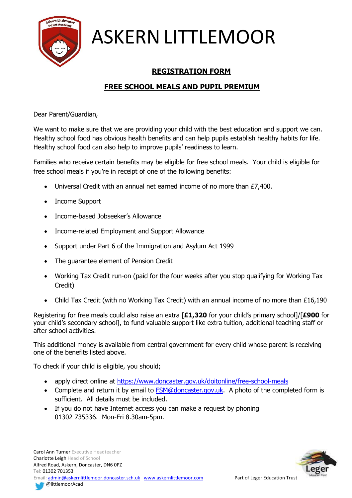

## **REGISTRATION FORM**

## **FREE SCHOOL MEALS AND PUPIL PREMIUM**

Dear Parent/Guardian,

We want to make sure that we are providing your child with the best education and support we can. Healthy school food has obvious health benefits and can help pupils establish healthy habits for life. Healthy school food can also help to improve pupils' readiness to learn.

Families who receive certain benefits may be eligible for free school meals. Your child is eligible for free school meals if you're in receipt of one of the following benefits:

- Universal Credit with an annual net earned income of no more than £7,400.
- Income Support
- Income-based Jobseeker's Allowance
- Income-related Employment and Support Allowance
- Support under Part 6 of the Immigration and Asylum Act 1999
- The guarantee element of Pension Credit
- Working Tax Credit run-on (paid for the four weeks after you stop qualifying for Working Tax Credit)
- Child Tax Credit (with no Working Tax Credit) with an annual income of no more than £16,190

Registering for free meals could also raise an extra [**£1,320** for your child's primary school]/[**£900** for your child's secondary school], to fund valuable support like extra tuition, additional teaching staff or after school activities.

This additional money is available from central government for every child whose parent is receiving one of the benefits listed above.

To check if your child is eligible, you should;

- apply direct online at<https://www.doncaster.gov.uk/doitonline/free-school-meals>
- Complete and return it by email to [FSM@doncaster.gov.uk.](mailto:FSM@doncaster.gov.uk) A photo of the completed form is sufficient. All details must be included.
- If you do not have Internet access you can make a request by phoning 01302 735336. Mon-Fri 8.30am-5pm.



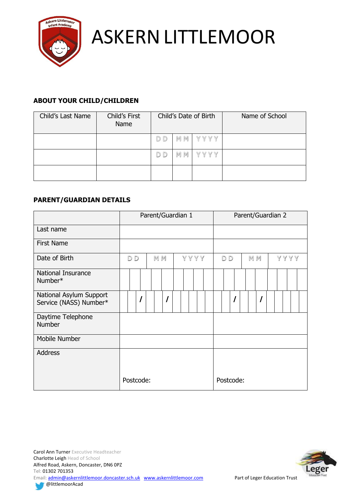

## **ABOUT YOUR CHILD/CHILDREN**

| Child's Last Name | Child's First<br>Name |     | Child's Date of Birth<br>Name of School |         |  |  |  |  |  |
|-------------------|-----------------------|-----|-----------------------------------------|---------|--|--|--|--|--|
|                   |                       | D D | MM                                      | YYYY    |  |  |  |  |  |
|                   |                       | D D | MM                                      | Y Y Y Y |  |  |  |  |  |
|                   |                       |     |                                         |         |  |  |  |  |  |

## **PARENT/GUARDIAN DETAILS**

|                                                   | Parent/Guardian 1    |           |  |  |      |  |  |  | Parent/Guardian 2 |                |  |  |  |           |  |  |         |  |  |  |  |  |
|---------------------------------------------------|----------------------|-----------|--|--|------|--|--|--|-------------------|----------------|--|--|--|-----------|--|--|---------|--|--|--|--|--|
| Last name                                         |                      |           |  |  |      |  |  |  |                   |                |  |  |  |           |  |  |         |  |  |  |  |  |
| <b>First Name</b>                                 |                      |           |  |  |      |  |  |  |                   |                |  |  |  |           |  |  |         |  |  |  |  |  |
| Date of Birth                                     | MM<br>D <sub>D</sub> |           |  |  | YYYY |  |  |  |                   | D <sub>D</sub> |  |  |  | M M       |  |  | Y Y Y Y |  |  |  |  |  |
| National Insurance<br>Number*                     |                      |           |  |  |      |  |  |  |                   |                |  |  |  |           |  |  |         |  |  |  |  |  |
| National Asylum Support<br>Service (NASS) Number* |                      |           |  |  |      |  |  |  |                   |                |  |  |  |           |  |  |         |  |  |  |  |  |
| Daytime Telephone<br>Number                       |                      |           |  |  |      |  |  |  |                   |                |  |  |  |           |  |  |         |  |  |  |  |  |
| Mobile Number                                     |                      |           |  |  |      |  |  |  |                   |                |  |  |  |           |  |  |         |  |  |  |  |  |
| <b>Address</b>                                    |                      |           |  |  |      |  |  |  |                   |                |  |  |  |           |  |  |         |  |  |  |  |  |
|                                                   |                      | Postcode: |  |  |      |  |  |  |                   |                |  |  |  | Postcode: |  |  |         |  |  |  |  |  |



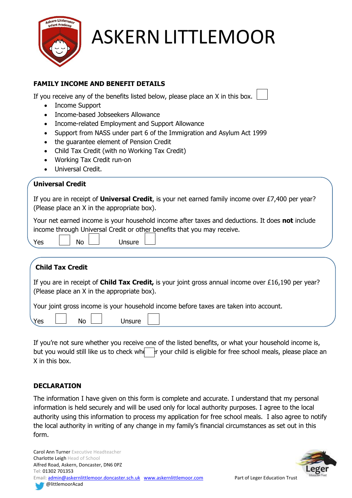

### **FAMILY INCOME AND BENEFIT DETAILS**

If you receive any of the benefits listed below, please place an X in this box.

- Income Support
- Income-based Jobseekers Allowance
- Income-related Employment and Support Allowance
- Support from NASS under part 6 of the Immigration and Asylum Act 1999
- the quarantee element of Pension Credit

No Unsure

- Child Tax Credit (with no Working Tax Credit)
- Working Tax Credit run-on
- Universal Credit.

#### **Universal Credit**

If you are in receipt of **Universal Credit**, is your net earned family income over £7,400 per year? (Please place an X in the appropriate box).

Your net earned income is your household income after taxes and deductions. It does **not** include income through Universal Credit or other benefits that you may receive.

| Yes | <b>No</b> | Unsure |
|-----|-----------|--------|
|     |           |        |

## **Child Tax Credit**

If you are in receipt of **Child Tax Credit,** is your joint gross annual income over £16,190 per year? (Please place an X in the appropriate box).

Your joint gross income is your household income before taxes are taken into account.

| V۵ |  |
|----|--|
|    |  |
|    |  |
|    |  |
|    |  |
|    |  |
|    |  |

If you're not sure whether you receive one of the listed benefits, or what your household income is, but you would still like us to check whether your child is eligible for free school meals, please place an X in this box.

### **DECLARATION**

The information I have given on this form is complete and accurate. I understand that my personal information is held securely and will be used only for local authority purposes. I agree to the local authority using this information to process my application for free school meals. I also agree to notify the local authority in writing of any change in my family's financial circumstances as set out in this form.

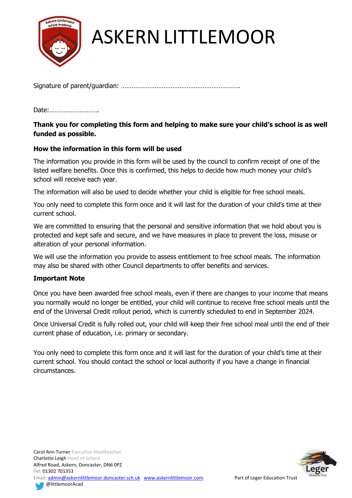

Signature of parent/guardian: ………………………………………………………….

Date:……………………….

### **Thank you for completing this form and helping to make sure your child's school is as well funded as possible.**

#### **How the information in this form will be used**

The information you provide in this form will be used by the council to confirm receipt of one of the listed welfare benefits. Once this is confirmed, this helps to decide how much money your child's school will receive each year.

The information will also be used to decide whether your child is eligible for free school meals.

You only need to complete this form once and it will last for the duration of your child's time at their current school.

We are committed to ensuring that the personal and sensitive information that we hold about you is protected and kept safe and secure, and we have measures in place to prevent the loss, misuse or alteration of your personal information.

We will use the information you provide to assess entitlement to free school meals. The information may also be shared with other Council departments to offer benefits and services.

#### **Important Note**

Once you have been awarded free school meals, even if there are changes to your income that means you normally would no longer be entitled, your child will continue to receive free school meals until the end of the Universal Credit rollout period, which is currently scheduled to end in September 2024.

Once Universal Credit is fully rolled out, your child will keep their free school meal until the end of their current phase of education, i.e. primary or secondary.

You only need to complete this form once and it will last for the duration of your child's time at their current school. You should contact the school or local authority if you have a change in financial circumstances.